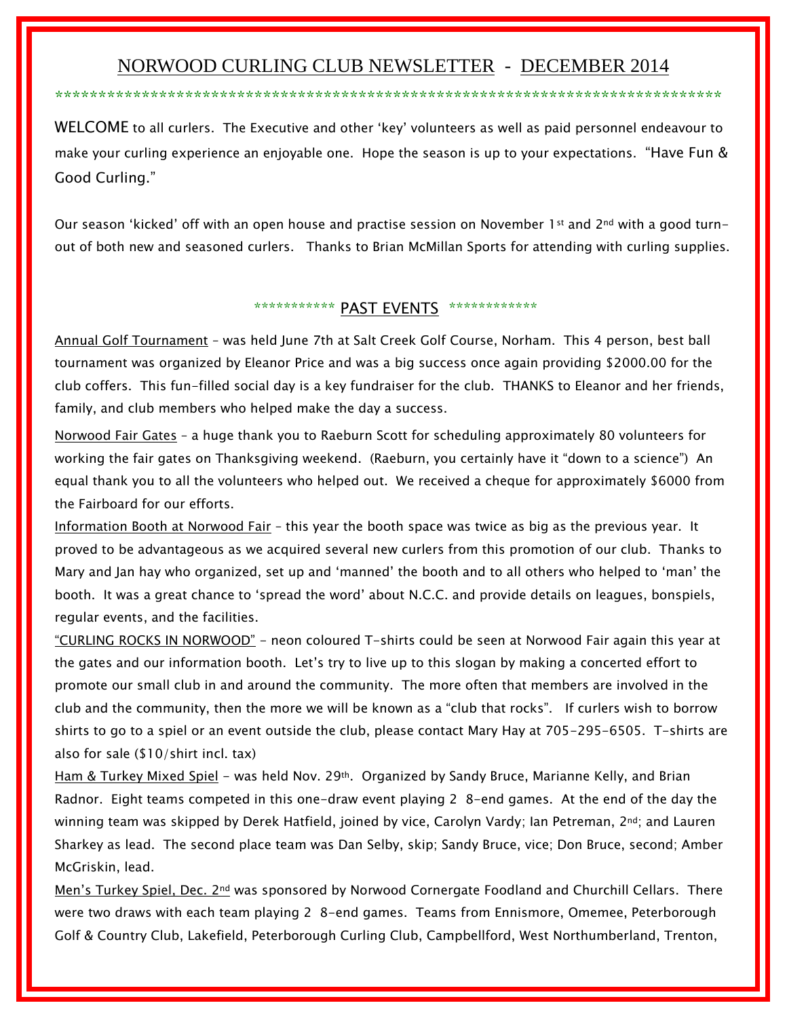## NORWOOD CURLING CLUB NEWSLETTER - DECEMBER 2014

\*\*\*\*\*\*\*\*\*\*\*\*\*\*\*\*\*\*\*\*\*\*\*\*\*\*\*\*\*\*\*\*\*\*\*\*\*\*\*\*\*\*\*\*\*\*\*\*\*\*\*\*\*\*\*\*\*\*\*\*\*\*\*\*\*\*\*\*\*\*\*\*\*\*\*\*\*

WELCOME to all curlers. The Executive and other 'key' volunteers as well as paid personnel endeavour to make your curling experience an enjoyable one. Hope the season is up to your expectations. "Have Fun & Good Curling."

Our season 'kicked' off with an open house and practise session on November 1st and 2<sup>nd</sup> with a good turnout of both new and seasoned curlers. Thanks to Brian McMillan Sports for attending with curling supplies.

## \*\*\*\*\*\*\*\*\*\*\*\* PAST EVENTS \*\*\*\*\*\*\*\*\*\*\*\*\*

Annual Golf Tournament – was held June 7th at Salt Creek Golf Course, Norham. This 4 person, best ball tournament was organized by Eleanor Price and was a big success once again providing \$2000.00 for the club coffers. This fun-filled social day is a key fundraiser for the club. THANKS to Eleanor and her friends, family, and club members who helped make the day a success.

Norwood Fair Gates – a huge thank you to Raeburn Scott for scheduling approximately 80 volunteers for working the fair gates on Thanksgiving weekend. (Raeburn, you certainly have it "down to a science") An equal thank you to all the volunteers who helped out. We received a cheque for approximately \$6000 from the Fairboard for our efforts.

Information Booth at Norwood Fair - this year the booth space was twice as big as the previous year. It proved to be advantageous as we acquired several new curlers from this promotion of our club. Thanks to Mary and Jan hay who organized, set up and 'manned' the booth and to all others who helped to 'man' the booth. It was a great chance to 'spread the word' about N.C.C. and provide details on leagues, bonspiels, regular events, and the facilities.

"CURLING ROCKS IN NORWOOD" - neon coloured T-shirts could be seen at Norwood Fair again this year at the gates and our information booth. Let's try to live up to this slogan by making a concerted effort to promote our small club in and around the community. The more often that members are involved in the club and the community, then the more we will be known as a "club that rocks". If curlers wish to borrow shirts to go to a spiel or an event outside the club, please contact Mary Hay at 705-295-6505. T-shirts are also for sale (\$10/shirt incl. tax)

Ham & Turkey Mixed Spiel - was held Nov. 29<sup>th</sup>. Organized by Sandy Bruce, Marianne Kelly, and Brian Radnor. Eight teams competed in this one-draw event playing 2 8-end games. At the end of the day the winning team was skipped by Derek Hatfield, joined by vice, Carolyn Vardy; Ian Petreman, 2nd; and Lauren Sharkey as lead. The second place team was Dan Selby, skip; Sandy Bruce, vice; Don Bruce, second; Amber McGriskin, lead.

Men's Turkey Spiel, Dec. 2nd was sponsored by Norwood Cornergate Foodland and Churchill Cellars. There were two draws with each team playing 2 8-end games. Teams from Ennismore, Omemee, Peterborough Golf & Country Club, Lakefield, Peterborough Curling Club, Campbellford, West Northumberland, Trenton,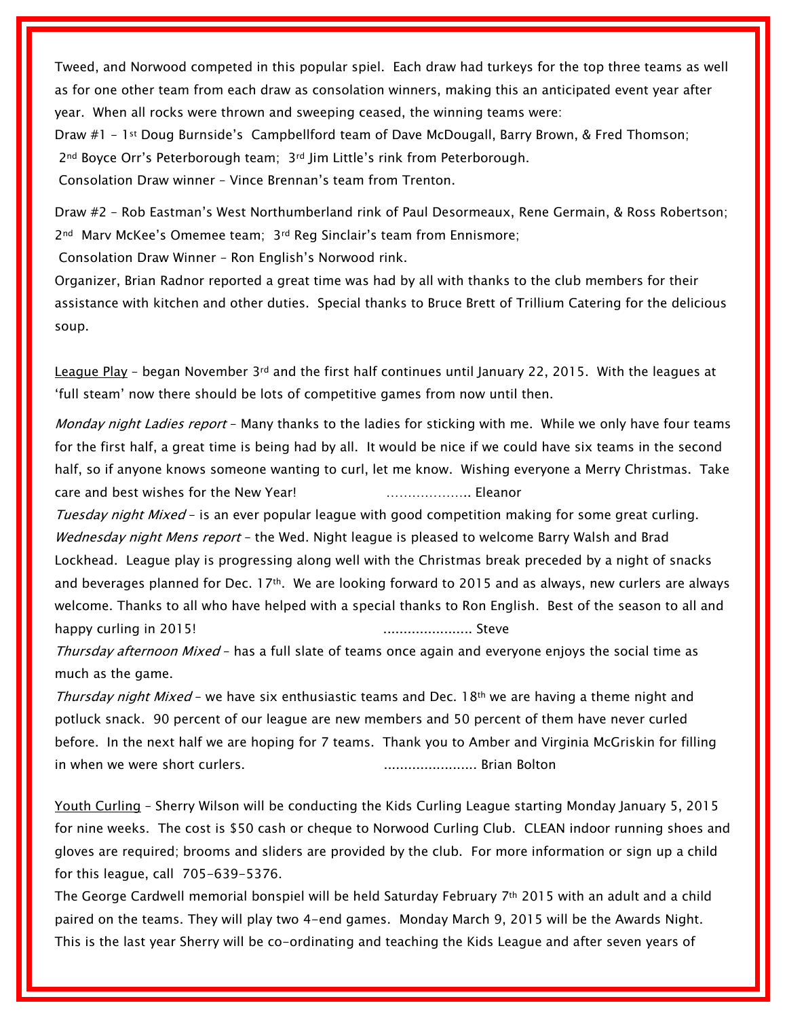Tweed, and Norwood competed in this popular spiel. Each draw had turkeys for the top three teams as well as for one other team from each draw as consolation winners, making this an anticipated event year after year. When all rocks were thrown and sweeping ceased, the winning teams were:

Draw #1 – 1st Doug Burnside's Campbellford team of Dave McDougall, Barry Brown, & Fred Thomson; 2<sup>nd</sup> Boyce Orr's Peterborough team; 3<sup>rd</sup> Jim Little's rink from Peterborough. Consolation Draw winner – Vince Brennan's team from Trenton.

Draw #2 – Rob Eastman's West Northumberland rink of Paul Desormeaux, Rene Germain, & Ross Robertson; 2nd Marv McKee's Omemee team; 3rd Reg Sinclair's team from Ennismore;

Consolation Draw Winner – Ron English's Norwood rink.

Organizer, Brian Radnor reported a great time was had by all with thanks to the club members for their assistance with kitchen and other duties. Special thanks to Bruce Brett of Trillium Catering for the delicious soup.

League Play – began November  $3^{rd}$  and the first half continues until January 22, 2015. With the leagues at 'full steam' now there should be lots of competitive games from now until then.

Monday night Ladies report - Many thanks to the ladies for sticking with me. While we only have four teams for the first half, a great time is being had by all. It would be nice if we could have six teams in the second half, so if anyone knows someone wanting to curl, let me know. Wishing everyone a Merry Christmas. Take care and best wishes for the New Year! ……………….. Eleanor

Tuesday night Mixed - is an ever popular league with good competition making for some great curling. Wednesday night Mens report - the Wed. Night league is pleased to welcome Barry Walsh and Brad Lockhead. League play is progressing along well with the Christmas break preceded by a night of snacks and beverages planned for Dec. 17th. We are looking forward to 2015 and as always, new curlers are always welcome. Thanks to all who have helped with a special thanks to Ron English. Best of the season to all and happy curling in 2015! ...................... Steve

Thursday afternoon Mixed - has a full slate of teams once again and everyone enjoys the social time as much as the game.

Thursday night Mixed - we have six enthusiastic teams and Dec. 18<sup>th</sup> we are having a theme night and potluck snack. 90 percent of our league are new members and 50 percent of them have never curled before. In the next half we are hoping for 7 teams. Thank you to Amber and Virginia McGriskin for filling in when we were short curlers. ....................... Brian Bolton

Youth Curling – Sherry Wilson will be conducting the Kids Curling League starting Monday January 5, 2015 for nine weeks. The cost is \$50 cash or cheque to Norwood Curling Club. CLEAN indoor running shoes and gloves are required; brooms and sliders are provided by the club. For more information or sign up a child for this league, call 705-639-5376.

The George Cardwell memorial bonspiel will be held Saturday February  $7<sup>th</sup>$  2015 with an adult and a child paired on the teams. They will play two 4-end games. Monday March 9, 2015 will be the Awards Night. This is the last year Sherry will be co-ordinating and teaching the Kids League and after seven years of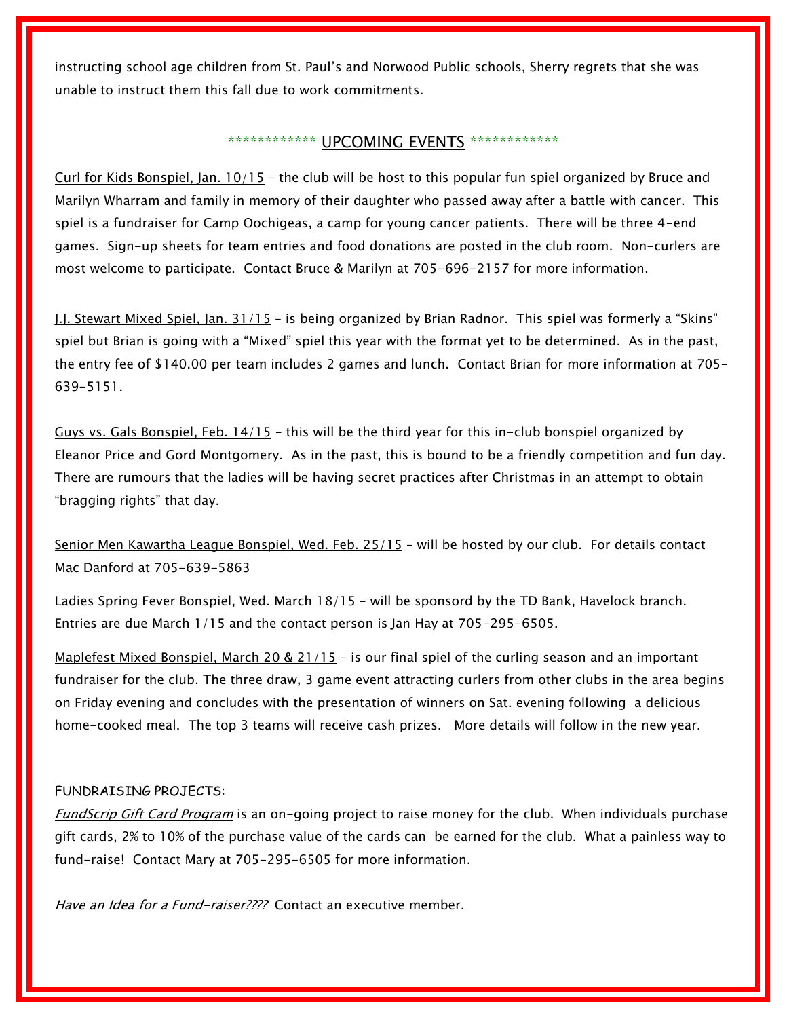instructing school age children from St. Paul's and Norwood Public schools, Sherry regrets that she was unable to instruct them this fall due to work commitments.

## \*\*\*\*\*\*\*\*\*\*\*\*\* UPCOMING EVENTS \*\*\*\*\*\*\*\*\*\*\*\*\*

Curl for Kids Bonspiel, Jan. 10/15 – the club will be host to this popular fun spiel organized by Bruce and Marilyn Wharram and family in memory of their daughter who passed away after a battle with cancer. This spiel is a fundraiser for Camp Oochigeas, a camp for young cancer patients. There will be three 4-end games. Sign-up sheets for team entries and food donations are posted in the club room. Non-curlers are most welcome to participate. Contact Bruce & Marilyn at 705-696-2157 for more information.

J.J. Stewart Mixed Spiel, Jan. 31/15 – is being organized by Brian Radnor. This spiel was formerly a "Skins" spiel but Brian is going with a "Mixed" spiel this year with the format yet to be determined. As in the past, the entry fee of \$140.00 per team includes 2 games and lunch. Contact Brian for more information at 705- 639-5151.

Guys vs. Gals Bonspiel, Feb. 14/15 – this will be the third year for this in-club bonspiel organized by Eleanor Price and Gord Montgomery. As in the past, this is bound to be a friendly competition and fun day. There are rumours that the ladies will be having secret practices after Christmas in an attempt to obtain "bragging rights" that day.

Senior Men Kawartha League Bonspiel, Wed. Feb. 25/15 - will be hosted by our club. For details contact Mac Danford at 705-639-5863

Ladies Spring Fever Bonspiel, Wed. March 18/15 – will be sponsord by the TD Bank, Havelock branch. Entries are due March 1/15 and the contact person is Jan Hay at 705-295-6505.

Maplefest Mixed Bonspiel, March 20 & 21/15 - is our final spiel of the curling season and an important fundraiser for the club. The three draw, 3 game event attracting curlers from other clubs in the area begins on Friday evening and concludes with the presentation of winners on Sat. evening following a delicious home-cooked meal. The top 3 teams will receive cash prizes. More details will follow in the new year.

## FUNDRAISING PROJECTS:

FundScrip Gift Card Program is an on-going project to raise money for the club. When individuals purchase gift cards, 2% to 10% of the purchase value of the cards can be earned for the club. What a painless way to fund-raise! Contact Mary at 705-295-6505 for more information.

Have an Idea for a Fund-raiser???? Contact an executive member.